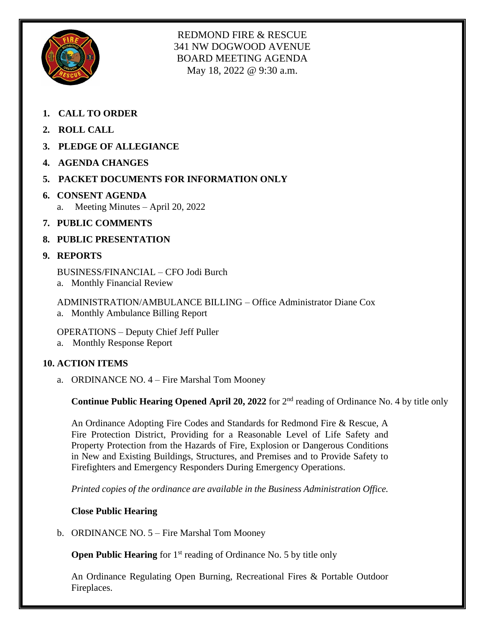

REDMOND FIRE & RESCUE 341 NW DOGWOOD AVENUE BOARD MEETING AGENDA May 18, 2022 @ 9:30 a.m.

- **1. CALL TO ORDER**
- **2. ROLL CALL**
- **3. PLEDGE OF ALLEGIANCE**
- **4. AGENDA CHANGES**
- **5. PACKET DOCUMENTS FOR INFORMATION ONLY**
- **6. CONSENT AGENDA** a. Meeting Minutes – April 20, 2022
- **7. PUBLIC COMMENTS**
- **8. PUBLIC PRESENTATION**

# **9. REPORTS**

BUSINESS/FINANCIAL – CFO Jodi Burch

a. Monthly Financial Review

ADMINISTRATION/AMBULANCE BILLING – Office Administrator Diane Cox a. Monthly Ambulance Billing Report

OPERATIONS – Deputy Chief Jeff Puller

a. Monthly Response Report

# **10. ACTION ITEMS**

a. ORDINANCE NO. 4 – Fire Marshal Tom Mooney

**Continue Public Hearing Opened April 20, 2022** for 2<sup>nd</sup> reading of Ordinance No. 4 by title only

An Ordinance Adopting Fire Codes and Standards for Redmond Fire & Rescue, A Fire Protection District, Providing for a Reasonable Level of Life Safety and Property Protection from the Hazards of Fire, Explosion or Dangerous Conditions in New and Existing Buildings, Structures, and Premises and to Provide Safety to Firefighters and Emergency Responders During Emergency Operations.

*Printed copies of the ordinance are available in the Business Administration Office.*

## **Close Public Hearing**

b. ORDINANCE NO. 5 – Fire Marshal Tom Mooney

**Open Public Hearing** for 1<sup>st</sup> reading of Ordinance No. 5 by title only

An Ordinance Regulating Open Burning, Recreational Fires & Portable Outdoor Fireplaces.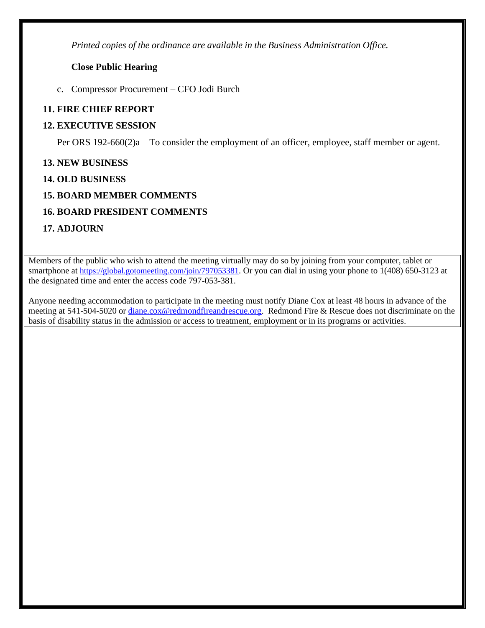*Printed copies of the ordinance are available in the Business Administration Office.*

## **Close Public Hearing**

c. Compressor Procurement – CFO Jodi Burch

# **11. FIRE CHIEF REPORT**

# **12. EXECUTIVE SESSION**

Per ORS 192-660(2)a – To consider the employment of an officer, employee, staff member or agent.

# **13. NEW BUSINESS**

# **14. OLD BUSINESS**

# **15. BOARD MEMBER COMMENTS**

# **16. BOARD PRESIDENT COMMENTS**

# **17. ADJOURN**

Members of the public who wish to attend the meeting virtually may do so by joining from your computer, tablet or smartphone at <https://global.gotomeeting.com/join/797053381>. Or you can dial in using your phone to 1(408) 650-3123 at the designated time and enter the access code 797-053-381.

Anyone needing accommodation to participate in the meeting must notify Diane Cox at least 48 hours in advance of the meeting at 541-504-5020 or [diane.cox@redmondfireandrescue.org.](mailto:diane.cox@redmondfireandrescue.org) Redmond Fire & Rescue does not discriminate on the basis of disability status in the admission or access to treatment, employment or in its programs or activities.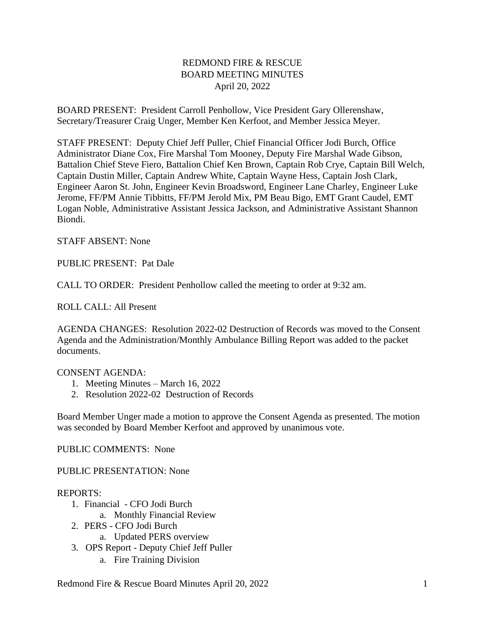# REDMOND FIRE & RESCUE BOARD MEETING MINUTES April 20, 2022

BOARD PRESENT: President Carroll Penhollow, Vice President Gary Ollerenshaw, Secretary/Treasurer Craig Unger, Member Ken Kerfoot, and Member Jessica Meyer.

STAFF PRESENT: Deputy Chief Jeff Puller, Chief Financial Officer Jodi Burch, Office Administrator Diane Cox, Fire Marshal Tom Mooney, Deputy Fire Marshal Wade Gibson, Battalion Chief Steve Fiero, Battalion Chief Ken Brown, Captain Rob Crye, Captain Bill Welch, Captain Dustin Miller, Captain Andrew White, Captain Wayne Hess, Captain Josh Clark, Engineer Aaron St. John, Engineer Kevin Broadsword, Engineer Lane Charley, Engineer Luke Jerome, FF/PM Annie Tibbitts, FF/PM Jerold Mix, PM Beau Bigo, EMT Grant Caudel, EMT Logan Noble, Administrative Assistant Jessica Jackson, and Administrative Assistant Shannon Biondi.

#### STAFF ABSENT: None

#### PUBLIC PRESENT: Pat Dale

CALL TO ORDER: President Penhollow called the meeting to order at 9:32 am.

ROLL CALL: All Present

AGENDA CHANGES: Resolution 2022-02 Destruction of Records was moved to the Consent Agenda and the Administration/Monthly Ambulance Billing Report was added to the packet documents.

#### CONSENT AGENDA:

- 1. Meeting Minutes March 16, 2022
- 2. Resolution 2022-02 Destruction of Records

Board Member Unger made a motion to approve the Consent Agenda as presented. The motion was seconded by Board Member Kerfoot and approved by unanimous vote.

## PUBLIC COMMENTS: None

PUBLIC PRESENTATION: None

## REPORTS:

- 1. Financial CFO Jodi Burch
	- a. Monthly Financial Review
- 2. PERS CFO Jodi Burch
	- a. Updated PERS overview
- 3. OPS Report Deputy Chief Jeff Puller
	- a. Fire Training Division

Redmond Fire & Rescue Board Minutes April 20, 2022 1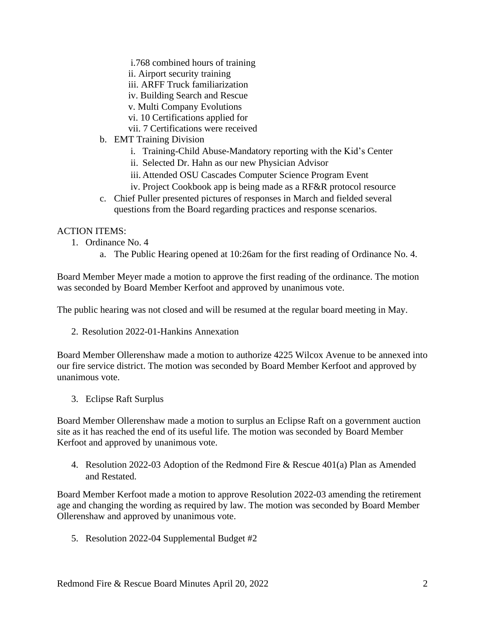- i.768 combined hours of training
- ii. Airport security training
- iii. ARFF Truck familiarization
- iv. Building Search and Rescue
- v. Multi Company Evolutions
- vi. 10 Certifications applied for
- vii. 7 Certifications were received
- b. EMT Training Division
	- i. Training-Child Abuse-Mandatory reporting with the Kid's Center
	- ii. Selected Dr. Hahn as our new Physician Advisor
	- iii. Attended OSU Cascades Computer Science Program Event
	- iv. Project Cookbook app is being made as a RF&R protocol resource
- c. Chief Puller presented pictures of responses in March and fielded several questions from the Board regarding practices and response scenarios.

#### ACTION ITEMS:

- 1. Ordinance No. 4
	- a. The Public Hearing opened at 10:26am for the first reading of Ordinance No. 4.

Board Member Meyer made a motion to approve the first reading of the ordinance. The motion was seconded by Board Member Kerfoot and approved by unanimous vote.

The public hearing was not closed and will be resumed at the regular board meeting in May.

2. Resolution 2022-01-Hankins Annexation

Board Member Ollerenshaw made a motion to authorize 4225 Wilcox Avenue to be annexed into our fire service district. The motion was seconded by Board Member Kerfoot and approved by unanimous vote.

3. Eclipse Raft Surplus

Board Member Ollerenshaw made a motion to surplus an Eclipse Raft on a government auction site as it has reached the end of its useful life. The motion was seconded by Board Member Kerfoot and approved by unanimous vote.

4. Resolution 2022-03 Adoption of the Redmond Fire & Rescue 401(a) Plan as Amended and Restated.

Board Member Kerfoot made a motion to approve Resolution 2022-03 amending the retirement age and changing the wording as required by law. The motion was seconded by Board Member Ollerenshaw and approved by unanimous vote.

5. Resolution 2022-04 Supplemental Budget #2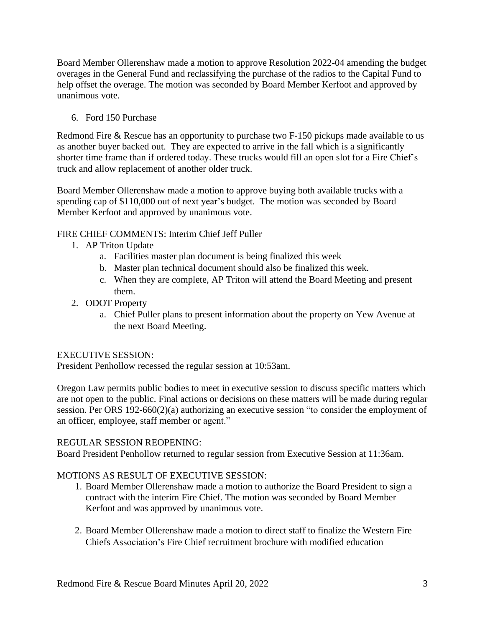Board Member Ollerenshaw made a motion to approve Resolution 2022-04 amending the budget overages in the General Fund and reclassifying the purchase of the radios to the Capital Fund to help offset the overage. The motion was seconded by Board Member Kerfoot and approved by unanimous vote.

6. Ford 150 Purchase

Redmond Fire & Rescue has an opportunity to purchase two F-150 pickups made available to us as another buyer backed out. They are expected to arrive in the fall which is a significantly shorter time frame than if ordered today. These trucks would fill an open slot for a Fire Chief's truck and allow replacement of another older truck.

Board Member Ollerenshaw made a motion to approve buying both available trucks with a spending cap of \$110,000 out of next year's budget. The motion was seconded by Board Member Kerfoot and approved by unanimous vote.

# FIRE CHIEF COMMENTS: Interim Chief Jeff Puller

- 1. AP Triton Update
	- a. Facilities master plan document is being finalized this week
	- b. Master plan technical document should also be finalized this week.
	- c. When they are complete, AP Triton will attend the Board Meeting and present them.
- 2. ODOT Property
	- a. Chief Puller plans to present information about the property on Yew Avenue at the next Board Meeting.

## EXECUTIVE SESSION:

President Penhollow recessed the regular session at 10:53am.

Oregon Law permits public bodies to meet in executive session to discuss specific matters which are not open to the public. Final actions or decisions on these matters will be made during regular session. Per ORS 192-660(2)(a) authorizing an executive session "to consider the employment of an officer, employee, staff member or agent."

## REGULAR SESSION REOPENING:

Board President Penhollow returned to regular session from Executive Session at 11:36am.

## MOTIONS AS RESULT OF EXECUTIVE SESSION:

- 1. Board Member Ollerenshaw made a motion to authorize the Board President to sign a contract with the interim Fire Chief. The motion was seconded by Board Member Kerfoot and was approved by unanimous vote.
- 2. Board Member Ollerenshaw made a motion to direct staff to finalize the Western Fire Chiefs Association's Fire Chief recruitment brochure with modified education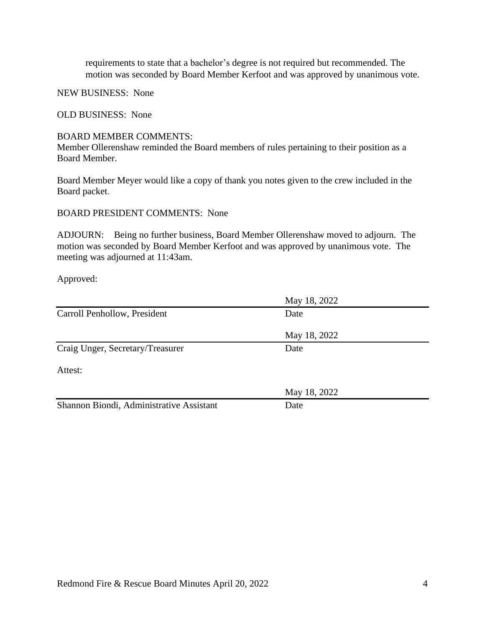requirements to state that a bachelor's degree is not required but recommended. The motion was seconded by Board Member Kerfoot and was approved by unanimous vote.

NEW BUSINESS: None

OLD BUSINESS: None

#### BOARD MEMBER COMMENTS:

Member Ollerenshaw reminded the Board members of rules pertaining to their position as a Board Member.

Board Member Meyer would like a copy of thank you notes given to the crew included in the Board packet.

BOARD PRESIDENT COMMENTS: None

ADJOURN: Being no further business, Board Member Ollerenshaw moved to adjourn. The motion was seconded by Board Member Kerfoot and was approved by unanimous vote. The meeting was adjourned at 11:43am.

Approved:

|                                          | May 18, 2022 |  |
|------------------------------------------|--------------|--|
| Carroll Penhollow, President             | Date         |  |
|                                          | May 18, 2022 |  |
| Craig Unger, Secretary/Treasurer         | Date         |  |
| Attest:                                  |              |  |
|                                          | May 18, 2022 |  |
| Shannon Biondi, Administrative Assistant | Date         |  |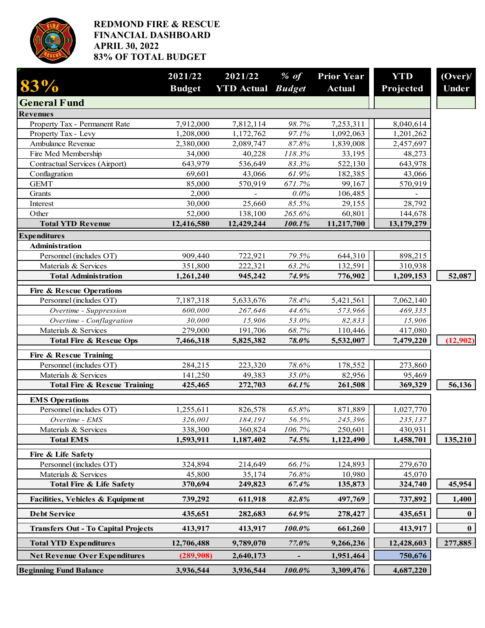

## **REDMOND FIRE & RESCUE FINANCIAL DASHBOARD APRIL 30, 2022 83% OF TOTAL BUDGET**

| $83\%$                                                         | 2021/22           | 2021/22                         | $%$ of           | <b>Prior Year</b>    | <b>YTD</b>            | (Over)       |
|----------------------------------------------------------------|-------------------|---------------------------------|------------------|----------------------|-----------------------|--------------|
|                                                                | <b>Budget</b>     | <b>YTD</b> Actual <i>Budget</i> |                  | <b>Actual</b>        | Projected             | <b>Under</b> |
| <b>General Fund</b>                                            |                   |                                 |                  |                      |                       |              |
| <b>Revenues</b>                                                |                   |                                 |                  |                      |                       |              |
| Property Tax - Permanent Rate                                  | 7,912,000         | 7,812,114                       | 98.7%            | 7,253,311            | 8,040,614             |              |
| Property Tax - Levy                                            | 1,208,000         | 1,172,762                       | 97.1%            | 1,092,063            | 1,201,262             |              |
| Ambulance Revenue                                              | 2,380,000         | 2,089,747                       | 87.8%            | 1,839,008            | 2,457,697             |              |
| Fire Med Membership                                            | 34,000            | 40,228                          | 118.3%           | 33,195               | 48,273                |              |
| <b>Contractual Services (Airport)</b>                          | 643,979           | 536,649                         | 83.3%            | 522,130              | 643,978               |              |
| Conflagration                                                  | 69,601            | 43,066                          | 61.9%            | 182,385              | 43,066                |              |
| <b>GEMT</b>                                                    | 85,000            | 570,919                         | 671.7%           | 99,167               | 570,919               |              |
| Grants                                                         | 2,000             |                                 | 0.0%             | 106,485              |                       |              |
| Interest<br>Other                                              | 30,000<br>52,000  | 25,660                          | 85.5%            | 29,155               | 28,792                |              |
| <b>Total YTD Revenue</b>                                       | 12,416,580        | 138,100<br>12,429,244           | 265.6%<br>100.1% | 60,801<br>11,217,700 | 144,678<br>13,179,279 |              |
|                                                                |                   |                                 |                  |                      |                       |              |
| <b>Expenditures</b><br><b>Administration</b>                   |                   |                                 |                  |                      |                       |              |
| Personnel (includes OT)                                        | 909,440           | 722,921                         | 79.5%            | 644,310              | 898,215               |              |
| Materials & Services                                           | 351,800           | 222,321                         | 63.2%            | 132,591              | 310,938               |              |
| <b>Total Administration</b>                                    | 1,261,240         | 945,242                         | 74.9%            | 776,902              | 1,209,153             | 52,087       |
|                                                                |                   |                                 |                  |                      |                       |              |
| <b>Fire &amp; Rescue Operations</b><br>Personnel (includes OT) | 7,187,318         | 5,633,676                       | 78.4%            | 5,421,561            | 7,062,140             |              |
|                                                                |                   |                                 |                  |                      | 469,335               |              |
| Overtime - Suppression<br>Overtime - Conflagration             | 600,000<br>30,000 | 267,646<br>15,906               | 44.6%<br>53.0%   | 573,966<br>82,833    | 15,906                |              |
| Materials & Services                                           | 279,000           | 191,706                         | 68.7%            | 110,446              | 417,080               |              |
| <b>Total Fire &amp; Rescue Ops</b>                             | 7,466,318         | 5,825,382                       | 78.0%            | 5,532,007            | 7,479,220             | (12,902)     |
|                                                                |                   |                                 |                  |                      |                       |              |
| <b>Fire &amp; Rescue Training</b>                              |                   |                                 |                  |                      |                       |              |
| Personnel (includes OT)                                        | 284,215           | 223,320                         | 78.6%            | 178,552              | 273,860               |              |
| Materials & Services                                           | 141,250           | 49,383                          | 35.0%            | 82,956               | 95,469                |              |
| <b>Total Fire &amp; Rescue Training</b>                        | 425,465           | 272,703                         | 64.1%            | 261,508              | 369,329               | 56,136       |
| <b>EMS</b> Operations                                          |                   |                                 |                  |                      |                       |              |
| Personnel (includes OT)                                        | 1,255,611         | 826,578                         | 65.8%            | 871,889              | 1,027,770             |              |
| Overtime - EMS                                                 | 326,001           | 184,191                         | 56.5%            | 245,396              | 235,137               |              |
| Materials & Services                                           | 338,300           | 360,824                         | 106.7%           | 250,601              | 430,931               |              |
| <b>Total EMS</b>                                               | 1,593,911         | 1,187,402                       | 74.5%            | 1,122,490            | 1,458,701             | 135,210      |
| Fire & Life Safety                                             |                   |                                 |                  |                      |                       |              |
| Personnel (includes OT)                                        | 324,894           | 214,649                         | 66.1%            | 124,893              | 279,670               |              |
| Materials & Services                                           | 45,800            | 35,174                          | 76.8%            | 10,980               | 45,070                |              |
| <b>Total Fire &amp; Life Safety</b>                            | 370,694           | 249,823                         | 67.4%            | 135,873              | 324,740               | 45,954       |
| <b>Facilities, Vehicles &amp; Equipment</b>                    | 739,292           | 611,918                         | 82.8%            | 497,769              | 737,892               | 1,400        |
| <b>Debt Service</b>                                            | 435,651           | 282,683                         | 64.9%            | 278,427              | 435,651               | $\bf{0}$     |
| <b>Transfers Out - To Capital Projects</b>                     | 413,917           | 413,917                         | 100.0%           | 661,260              | 413,917               | $\bf{0}$     |
| <b>Total YTD Expenditures</b>                                  | 12,706,488        | 9,789,070                       | 77.0%            | 9,266,236            | 12,428,603            | 277,885      |
| <b>Net Revenue Over Expenditures</b>                           | (289,908)         | 2,640,173                       |                  | 1,951,464            | 750,676               |              |
| <b>Beginning Fund Balance</b>                                  | 3,936,544         | 3,936,544                       | 100.0%           | 3,309,476            | 4,687,220             |              |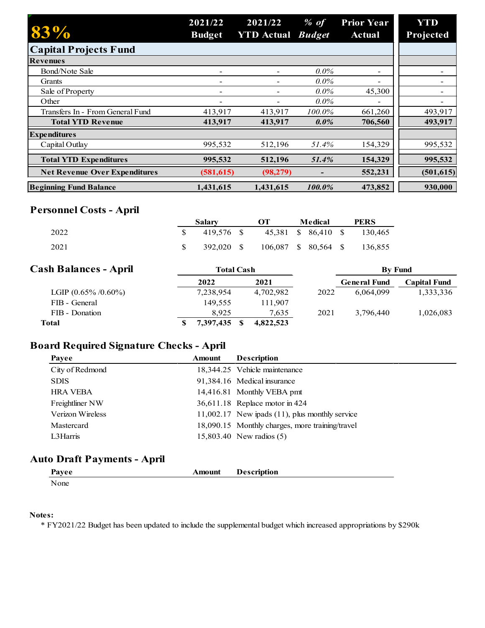| 83%                                  | 2021/22<br><b>Budget</b> | 2021/22<br><b>YTD</b> Actual <i>Budget</i> | % of    | <b>Prior Year</b><br><b>Actual</b> | <b>YTD</b><br>Projected |
|--------------------------------------|--------------------------|--------------------------------------------|---------|------------------------------------|-------------------------|
| <b>Capital Projects Fund</b>         |                          |                                            |         |                                    |                         |
| <b>Revenues</b>                      |                          |                                            |         |                                    |                         |
| Bond/Note Sale                       | $\overline{\phantom{a}}$ |                                            | $0.0\%$ |                                    |                         |
| Grants                               | $\overline{\phantom{a}}$ |                                            | $0.0\%$ |                                    |                         |
| Sale of Property                     | $\overline{\phantom{0}}$ |                                            | $0.0\%$ | 45,300                             |                         |
| Other                                |                          |                                            | $0.0\%$ |                                    |                         |
| Transfers In - From General Fund     | 413,917                  | 413,917                                    | 100.0%  | 661,260                            | 493,917                 |
| <b>Total YTD Revenue</b>             | 413.917                  | 413.917                                    | $0.0\%$ | 706,560                            | 493,917                 |
| <b>Expenditures</b>                  |                          |                                            |         |                                    |                         |
| Capital Outlay                       | 995,532                  | 512,196                                    | 51.4%   | 154,329                            | 995,532                 |
| <b>Total YTD Expenditures</b>        | 995,532                  | 512,196                                    | 51.4%   | 154,329                            | 995,532                 |
| <b>Net Revenue Over Expenditures</b> | (581, 615)               | (98, 279)                                  |         | 552,231                            | (501, 615)              |
| <b>Beginning Fund Balance</b>        | 1.431.615                | 1.431.615                                  | 100.0%  | 473,852                            | 930,000                 |

# **Personnel Costs - April**

|      | Salary     | OТ                   | Medical | <b>PERS</b>                 |
|------|------------|----------------------|---------|-----------------------------|
| 2022 | 419.576 \$ |                      |         | 45,381 \$ 86,410 \$ 130,465 |
| 2021 | 392,020 \$ | 106,087 \$ 80,564 \$ |         | 136,855                     |

| <b>Cash Balances - April</b> | Total Cash |           |      | <b>By Fund</b>      |                     |
|------------------------------|------------|-----------|------|---------------------|---------------------|
|                              | 2022       | 2021      |      | <b>General Fund</b> | <b>Capital Fund</b> |
| LGIP $(0.65\% / 0.60\%)$     | 7,238,954  | 4,702,982 | 2022 | 6.064.099           | 1,333,336           |
| FIB - General                | 149.555    | 111.907   |      |                     |                     |
| FIB - Donation               | 8.925      | 7,635     | 2021 | 3,796,440           | 1,026,083           |
| Total                        | 7,397,435  | 4,822,523 |      |                     |                     |

# **Board Required Signature Checks - April**

| Payee            | Amount | <b>Description</b>                                  |
|------------------|--------|-----------------------------------------------------|
| City of Redmond  |        | 18,344.25 Vehicle maintenance                       |
| <b>SDIS</b>      |        | 91,384.16 Medical insurance                         |
| <b>HRA VEBA</b>  |        | 14,416.81 Monthly VEBA pmt                          |
| Freightliner NW  |        | 36,611.18 Replace motor in 424                      |
| Verizon Wireless |        | $11,002.17$ New ipads $(11)$ , plus monthly service |
| Mastercard       |        | 18,090.15 Monthly charges, more training/travel     |
| L3Harris         |        | 15,803.40 New radios (5)                            |

# **Auto Draft Payments - April**

| Pavee | Amount | <b>Description</b> |  |  |
|-------|--------|--------------------|--|--|
|       |        |                    |  |  |

None

#### **Notes:**

\* FY2021/22 Budget has been updated to include the supplemental budget which increased appropriations by \$290k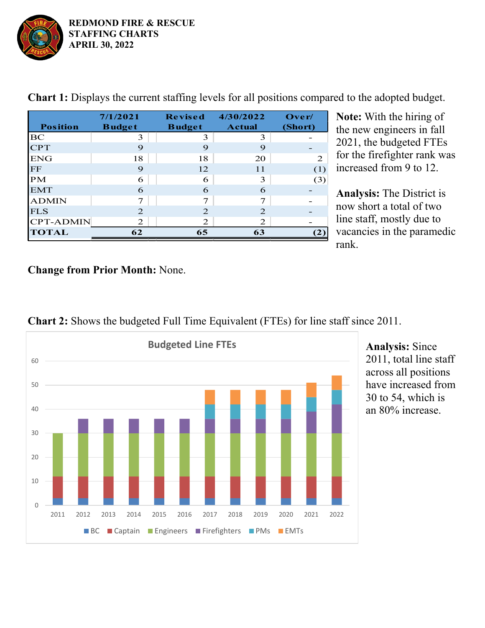

| <b>Position</b>  | 7/1/2021<br><b>Budget</b> | <b>Revised</b><br><b>Budget</b> | 4/30/2022<br><b>Actual</b> | Over/<br>(Short) |
|------------------|---------------------------|---------------------------------|----------------------------|------------------|
| BC               | 3                         | 3                               | 3                          |                  |
| <b>CPT</b>       | 9                         | 9                               | 9                          |                  |
| <b>ENG</b>       | 18                        | 18                              | 20                         | 2                |
| $\rm FF$         | 9                         | 12                              | 11                         | (1)              |
| <b>PM</b>        | 6                         | 6                               | 3                          | (3)              |
| <b>EMT</b>       | 6                         | 6                               | 6                          |                  |
| <b>ADMIN</b>     | 7                         | 7                               | 7                          |                  |
| <b>FLS</b>       | 2                         | $\overline{2}$                  | 2                          |                  |
| <b>CPT-ADMIN</b> | 2                         | 2                               | 2                          |                  |
| <b>TOTAL</b>     | 62                        | 65                              | 63                         |                  |

**Chart 1:** Displays the current staffing levels for all positions compared to the adopted budget.

**Note:** With the hiring of the new engineers in fall 2021, the budgeted FTEs for the firefighter rank was increased from 9 to 12.

**Analysis:** The District is now short a total of two line staff, mostly due to vacancies in the paramedic rank.

# **Change from Prior Month:** None.



**Chart 2:** Shows the budgeted Full Time Equivalent (FTEs) for line staff since 2011.

**Analysis:** Since 2011, total line staff across all positions have increased from 30 to 54, which is an 80% increase.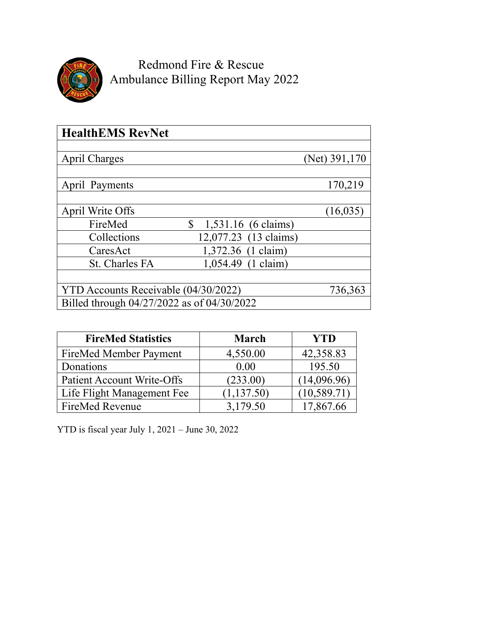

Redmond Fire & Rescue Ambulance Billing Report May 2022

| <b>HealthEMS RevNet</b>                    |                             |               |
|--------------------------------------------|-----------------------------|---------------|
|                                            |                             |               |
| <b>April Charges</b>                       |                             | (Net) 391,170 |
|                                            |                             |               |
| April Payments                             |                             | 170,219       |
|                                            |                             |               |
| April Write Offs                           |                             | (16, 035)     |
| FireMed                                    | \$<br>$1,531.16$ (6 claims) |               |
| Collections                                | 12,077.23 (13 claims)       |               |
| CaresAct                                   | 1,372.36 (1 claim)          |               |
| <b>St. Charles FA</b>                      | 1,054.49 (1 claim)          |               |
|                                            |                             |               |
| YTD Accounts Receivable (04/30/2022)       |                             | 736,363       |
| Billed through 04/27/2022 as of 04/30/2022 |                             |               |

| <b>FireMed Statistics</b>         | <b>March</b> | <b>YTD</b>   |
|-----------------------------------|--------------|--------------|
| FireMed Member Payment            | 4,550.00     | 42,358.83    |
| Donations                         | 0.00         | 195.50       |
| <b>Patient Account Write-Offs</b> | (233.00)     | (14,096.96)  |
| Life Flight Management Fee        | (1, 137.50)  | (10, 589.71) |
| <b>FireMed Revenue</b>            | 3,179.50     | 17.867.66    |

YTD is fiscal year July 1, 2021 – June 30, 2022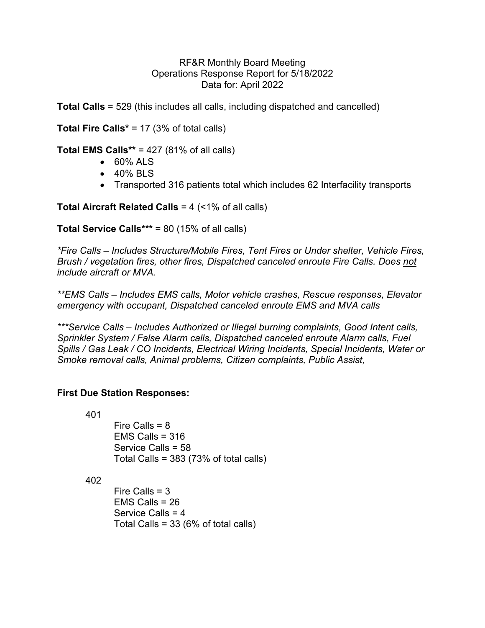### RF&R Monthly Board Meeting Operations Response Report for 5/18/2022 Data for: April 2022

**Total Calls** = 529 (this includes all calls, including dispatched and cancelled)

**Total Fire Calls\*** = 17 (3% of total calls)

**Total EMS Calls\*\*** = 427 (81% of all calls)

- 60% ALS
- 40% BLS
- Transported 316 patients total which includes 62 Interfacility transports

**Total Aircraft Related Calls** = 4 (<1% of all calls)

**Total Service Calls\*\*\*** = 80 (15% of all calls)

*\*Fire Calls – Includes Structure/Mobile Fires, Tent Fires or Under shelter, Vehicle Fires, Brush / vegetation fires, other fires, Dispatched canceled enroute Fire Calls. Does not include aircraft or MVA.*

*\*\*EMS Calls – Includes EMS calls, Motor vehicle crashes, Rescue responses, Elevator emergency with occupant, Dispatched canceled enroute EMS and MVA calls*

*\*\*\*Service Calls – Includes Authorized or Illegal burning complaints, Good Intent calls, Sprinkler System / False Alarm calls, Dispatched canceled enroute Alarm calls, Fuel Spills / Gas Leak / CO Incidents, Electrical Wiring Incidents, Special Incidents, Water or Smoke removal calls, Animal problems, Citizen complaints, Public Assist,* 

# **First Due Station Responses:**

401

Fire Calls  $= 8$ EMS Calls  $= 316$  Service Calls = 58 Total Calls = 383 (73% of total calls)

402

Fire Calls  $= 3$  EMS Calls = 26 Service Calls = 4 Total Calls = 33 (6% of total calls)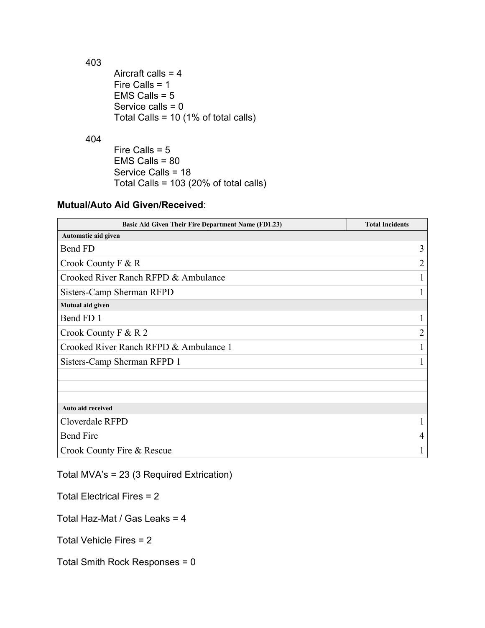403 Aircraft calls = 4 Fire Calls = 1 EMS Calls = 5 Service calls = 0 Total Calls = 10 (1% of total calls)

404

 Fire Calls = 5 EMS Calls = 80 Service Calls = 18 Total Calls = 103 (20% of total calls)

# **Mutual/Auto Aid Given/Received**:

| <b>Basic Aid Given Their Fire Department Name (FD1.23)</b> | <b>Total Incidents</b> |
|------------------------------------------------------------|------------------------|
| Automatic aid given                                        |                        |
| Bend FD                                                    | 3                      |
| Crook County $F & R$                                       | 2                      |
| Crooked River Ranch RFPD & Ambulance                       |                        |
| Sisters-Camp Sherman RFPD                                  |                        |
| Mutual aid given                                           |                        |
| Bend FD 1                                                  |                        |
| Crook County $F & R 2$                                     | 2                      |
| Crooked River Ranch RFPD & Ambulance 1                     |                        |
| Sisters-Camp Sherman RFPD 1                                |                        |
|                                                            |                        |
|                                                            |                        |
| Auto aid received                                          |                        |
| Cloverdale RFPD                                            |                        |
| <b>Bend Fire</b>                                           | 4                      |
| Crook County Fire & Rescue                                 |                        |

Total MVA's = 23 (3 Required Extrication)

Total Electrical Fires = 2

Total Haz-Mat / Gas Leaks = 4

Total Vehicle Fires = 2

Total Smith Rock Responses = 0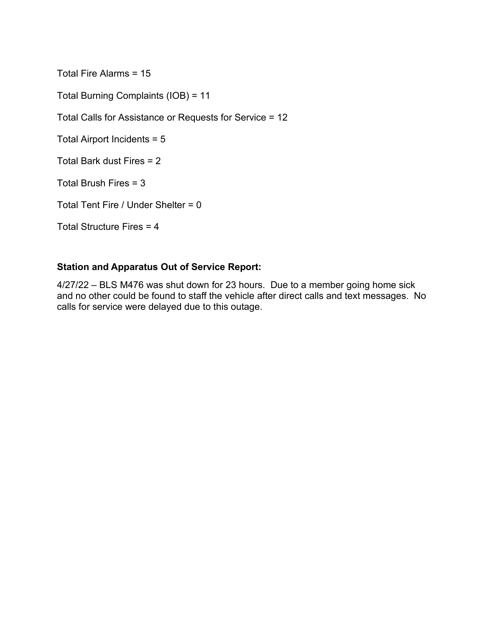Total Fire Alarms = 15

Total Burning Complaints (IOB) = 11

Total Calls for Assistance or Requests for Service = 12

Total Airport Incidents = 5

Total Bark dust Fires = 2

Total Brush Fires = 3

Total Tent Fire / Under Shelter = 0

Total Structure Fires = 4

# **Station and Apparatus Out of Service Report:**

4/27/22 – BLS M476 was shut down for 23 hours. Due to a member going home sick and no other could be found to staff the vehicle after direct calls and text messages. No calls for service were delayed due to this outage.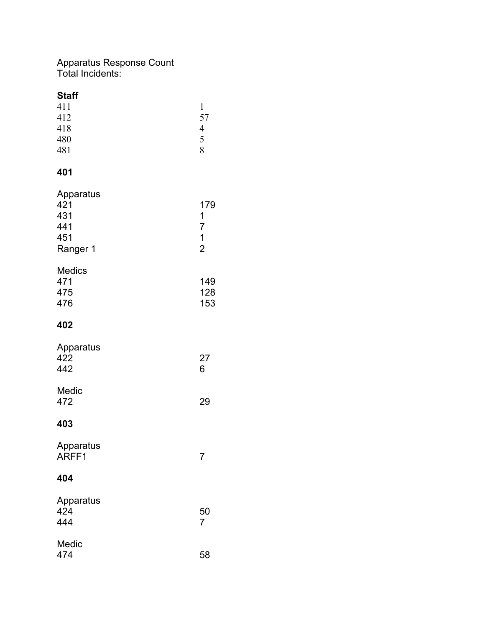# Apparatus Response Count Total Incidents:

| <b>Staff</b><br>411<br>412<br>418<br>480<br>481   | $\mathbf{1}$<br>57<br>$\overline{4}$<br>5<br>8              |
|---------------------------------------------------|-------------------------------------------------------------|
| 401                                               |                                                             |
| Apparatus<br>421<br>431<br>441<br>451<br>Ranger 1 | 179<br>1<br>$\overline{7}$<br>$\mathbf 1$<br>$\overline{2}$ |
| <b>Medics</b><br>471<br>475<br>476                | 149<br>128<br>153                                           |
| 402                                               |                                                             |
| Apparatus<br>422<br>442                           | 27<br>6                                                     |
| Medic<br>472                                      | 29                                                          |
| 403                                               |                                                             |
| Apparatus<br>ARFF1                                | $\overline{7}$                                              |
| 404                                               |                                                             |
| Apparatus<br>424<br>444                           | 50<br>$\overline{7}$                                        |
| Medic<br>474                                      | 58                                                          |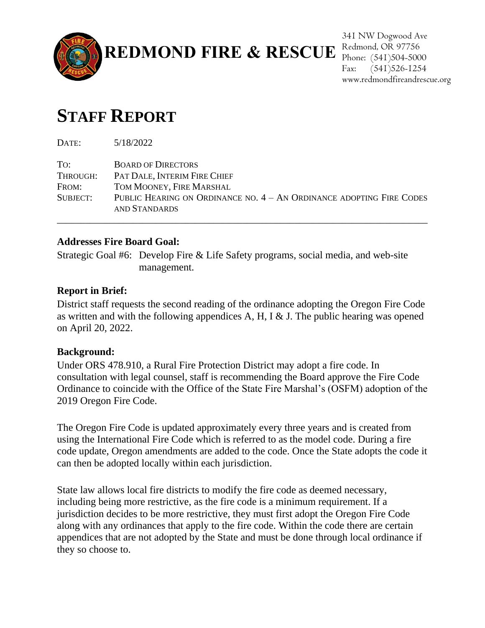

341 NW Dogwood Ave Phone: (541)504-5000 Fax: (541)526-1254 www.redmondfireandrescue.org

# **STAFF REPORT**

DATE: 5/18/2022 TO: BOARD OF DIRECTORS THROUGH: PAT DALE, INTERIM FIRE CHIEF FROM: TOM MOONEY, FIRE MARSHAL SUBJECT: PUBLIC HEARING ON ORDINANCE NO. 4 – AN ORDINANCE ADOPTING FIRE CODES AND STANDARDS

\_\_\_\_\_\_\_\_\_\_\_\_\_\_\_\_\_\_\_\_\_\_\_\_\_\_\_\_\_\_\_\_\_\_\_\_\_\_\_\_\_\_\_\_\_\_\_\_\_\_\_\_\_\_\_\_\_\_\_\_\_\_\_\_\_\_\_\_\_\_\_\_\_\_\_\_\_\_

# **Addresses Fire Board Goal:**

Strategic Goal #6: Develop Fire & Life Safety programs, social media, and web-site management.

# **Report in Brief:**

District staff requests the second reading of the ordinance adopting the Oregon Fire Code as written and with the following appendices A, H, I & J. The public hearing was opened on April 20, 2022.

# **Background:**

Under ORS 478.910, a Rural Fire Protection District may adopt a fire code. In consultation with legal counsel, staff is recommending the Board approve the Fire Code Ordinance to coincide with the Office of the State Fire Marshal's (OSFM) adoption of the 2019 Oregon Fire Code.

The Oregon Fire Code is updated approximately every three years and is created from using the International Fire Code which is referred to as the model code. During a fire code update, Oregon amendments are added to the code. Once the State adopts the code it can then be adopted locally within each jurisdiction.

State law allows local fire districts to modify the fire code as deemed necessary, including being more restrictive, as the fire code is a minimum requirement. If a jurisdiction decides to be more restrictive, they must first adopt the Oregon Fire Code along with any ordinances that apply to the fire code. Within the code there are certain appendices that are not adopted by the State and must be done through local ordinance if they so choose to.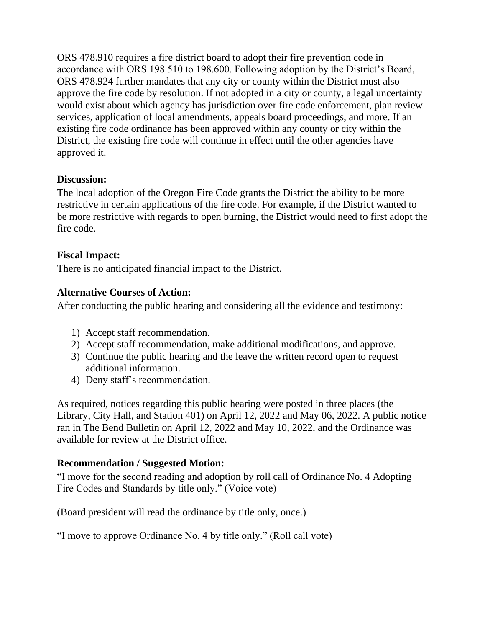ORS 478.910 requires a fire district board to adopt their fire prevention code in accordance with ORS 198.510 to 198.600. Following adoption by the District's Board, ORS 478.924 further mandates that any city or county within the District must also approve the fire code by resolution. If not adopted in a city or county, a legal uncertainty would exist about which agency has jurisdiction over fire code enforcement, plan review services, application of local amendments, appeals board proceedings, and more. If an existing fire code ordinance has been approved within any county or city within the District, the existing fire code will continue in effect until the other agencies have approved it.

# **Discussion:**

The local adoption of the Oregon Fire Code grants the District the ability to be more restrictive in certain applications of the fire code. For example, if the District wanted to be more restrictive with regards to open burning, the District would need to first adopt the fire code.

# **Fiscal Impact:**

There is no anticipated financial impact to the District.

# **Alternative Courses of Action:**

After conducting the public hearing and considering all the evidence and testimony:

- 1) Accept staff recommendation.
- 2) Accept staff recommendation, make additional modifications, and approve.
- 3) Continue the public hearing and the leave the written record open to request additional information.
- 4) Deny staff's recommendation.

As required, notices regarding this public hearing were posted in three places (the Library, City Hall, and Station 401) on April 12, 2022 and May 06, 2022. A public notice ran in The Bend Bulletin on April 12, 2022 and May 10, 2022, and the Ordinance was available for review at the District office.

# **Recommendation / Suggested Motion:**

"I move for the second reading and adoption by roll call of Ordinance No. 4 Adopting Fire Codes and Standards by title only." (Voice vote)

(Board president will read the ordinance by title only, once.)

"I move to approve Ordinance No. 4 by title only." (Roll call vote)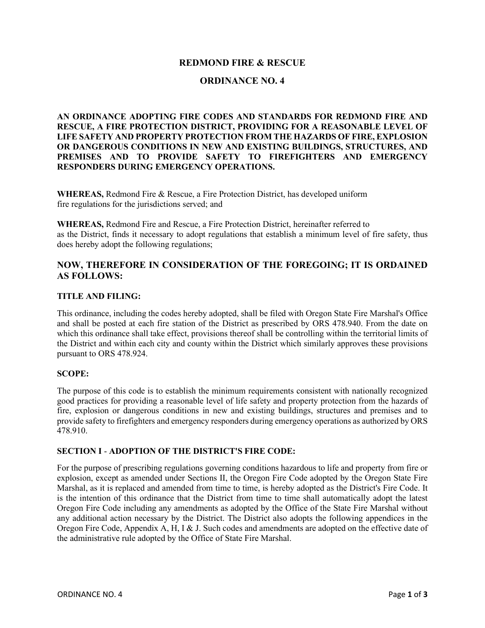#### **REDMOND FIRE & RESCUE**

#### **ORDINANCE NO. 4**

**AN ORDINANCE ADOPTING FIRE CODES AND STANDARDS FOR REDMOND FIRE AND RESCUE, A FIRE PROTECTION DISTRICT, PROVIDING FOR A REASONABLE LEVEL OF LIFE SAFETY AND PROPERTY PROTECTION FROM THE HAZARDS OF FIRE, EXPLOSION OR DANGEROUS CONDITIONS IN NEW AND EXISTING BUILDINGS, STRUCTURES, AND PREMISES AND TO PROVIDE SAFETY TO FIREFIGHTERS AND EMERGENCY RESPONDERS DURING EMERGENCY OPERATIONS.**

**WHEREAS,** Redmond Fire & Rescue, a Fire Protection District, has developed uniform fire regulations for the jurisdictions served; and

**WHEREAS,** Redmond Fire and Rescue, a Fire Protection District, hereinafter referred to as the District, finds it necessary to adopt regulations that establish a minimum level of fire safety, thus does hereby adopt the following regulations;

#### **NOW, THEREFORE IN CONSIDERATION OF THE FOREGOING; IT IS ORDAINED AS FOLLOWS:**

#### **TITLE AND FILING:**

This ordinance, including the codes hereby adopted, shall be filed with Oregon State Fire Marshal's Office and shall be posted at each fire station of the District as prescribed by ORS 478.940. From the date on which this ordinance shall take effect, provisions thereof shall be controlling within the territorial limits of the District and within each city and county within the District which similarly approves these provisions pursuant to ORS 478.924.

#### **SCOPE:**

The purpose of this code is to establish the minimum requirements consistent with nationally recognized good practices for providing a reasonable level of life safety and property protection from the hazards of fire, explosion or dangerous conditions in new and existing buildings, structures and premises and to provide safety to firefighters and emergency responders during emergency operations as authorized by ORS 478.910.

#### **SECTION I** - **ADOPTION OF THE DISTRICT'S FIRE CODE:**

For the purpose of prescribing regulations governing conditions hazardous to life and property from fire or explosion, except as amended under Sections II, the Oregon Fire Code adopted by the Oregon State Fire Marshal, as it is replaced and amended from time to time, is hereby adopted as the District's Fire Code. It is the intention of this ordinance that the District from time to time shall automatically adopt the latest Oregon Fire Code including any amendments as adopted by the Office of the State Fire Marshal without any additional action necessary by the District. The District also adopts the following appendices in the Oregon Fire Code, Appendix A, H, I & J. Such codes and amendments are adopted on the effective date of the administrative rule adopted by the Office of State Fire Marshal.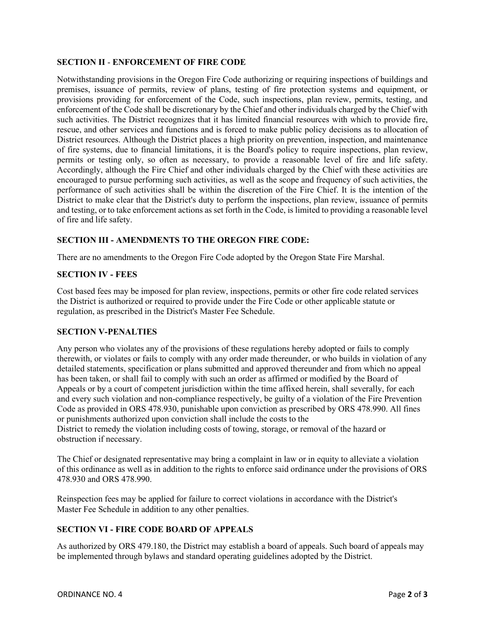#### **SECTION II** - **ENFORCEMENT OF FIRE CODE**

Notwithstanding provisions in the Oregon Fire Code authorizing or requiring inspections of buildings and premises, issuance of permits, review of plans, testing of fire protection systems and equipment, or provisions providing for enforcement of the Code, such inspections, plan review, permits, testing, and enforcement of the Code shall be discretionary by the Chief and other individuals charged by the Chief with such activities. The District recognizes that it has limited financial resources with which to provide fire, rescue, and other services and functions and is forced to make public policy decisions as to allocation of District resources. Although the District places a high priority on prevention, inspection, and maintenance of fire systems, due to financial limitations, it is the Board's policy to require inspections, plan review, permits or testing only, so often as necessary, to provide a reasonable level of fire and life safety. Accordingly, although the Fire Chief and other individuals charged by the Chief with these activities are encouraged to pursue performing such activities, as well as the scope and frequency of such activities, the performance of such activities shall be within the discretion of the Fire Chief. It is the intention of the District to make clear that the District's duty to perform the inspections, plan review, issuance of permits and testing, or to take enforcement actions as set forth in the Code, is limited to providing a reasonable level of fire and life safety.

#### **SECTION III - AMENDMENTS TO THE OREGON FIRE CODE:**

There are no amendments to the Oregon Fire Code adopted by the Oregon State Fire Marshal.

#### **SECTION IV - FEES**

Cost based fees may be imposed for plan review, inspections, permits or other fire code related services the District is authorized or required to provide under the Fire Code or other applicable statute or regulation, as prescribed in the District's Master Fee Schedule.

#### **SECTION V-PENALTIES**

Any person who violates any of the provisions of these regulations hereby adopted or fails to comply therewith, or violates or fails to comply with any order made thereunder, or who builds in violation of any detailed statements, specification or plans submitted and approved thereunder and from which no appeal has been taken, or shall fail to comply with such an order as affirmed or modified by the Board of Appeals or by a court of competent jurisdiction within the time affixed herein, shall severally, for each and every such violation and non-compliance respectively, be guilty of a violation of the Fire Prevention Code as provided in ORS 478.930, punishable upon conviction as prescribed by ORS 478.990. All fines or punishments authorized upon conviction shall include the costs to the District to remedy the violation including costs of towing, storage, or removal of the hazard or obstruction if necessary.

The Chief or designated representative may bring a complaint in law or in equity to alleviate a violation of this ordinance as well as in addition to the rights to enforce said ordinance under the provisions of ORS 478.930 and ORS 478.990.

Reinspection fees may be applied for failure to correct violations in accordance with the District's Master Fee Schedule in addition to any other penalties.

#### **SECTION VI - FIRE CODE BOARD OF APPEALS**

As authorized by ORS 479.180, the District may establish a board of appeals. Such board of appeals may be implemented through bylaws and standard operating guidelines adopted by the District.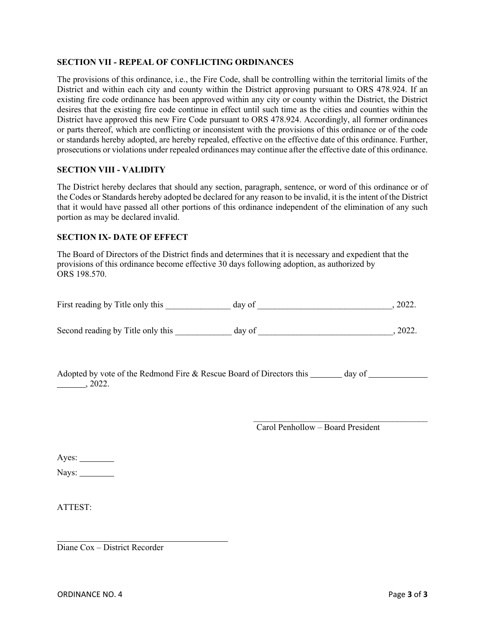#### **SECTION VII - REPEAL OF CONFLICTING ORDINANCES**

The provisions of this ordinance, i.e., the Fire Code, shall be controlling within the territorial limits of the District and within each city and county within the District approving pursuant to ORS 478.924. If an existing fire code ordinance has been approved within any city or county within the District, the District desires that the existing fire code continue in effect until such time as the cities and counties within the District have approved this new Fire Code pursuant to ORS 478.924. Accordingly, all former ordinances or parts thereof, which are conflicting or inconsistent with the provisions of this ordinance or of the code or standards hereby adopted, are hereby repealed, effective on the effective date of this ordinance. Further, prosecutions or violations under repealed ordinances may continue after the effective date of this ordinance.

#### **SECTION VIII - VALIDITY**

The District hereby declares that should any section, paragraph, sentence, or word of this ordinance or of the Codes or Standards hereby adopted be declared for any reason to be invalid, it is the intent of the District that it would have passed all other portions of this ordinance independent of the elimination of any such portion as may be declared invalid.

#### **SECTION IX- DATE OF EFFECT**

The Board of Directors of the District finds and determines that it is necessary and expedient that the provisions of this ordinance become effective 30 days following adoption, as authorized by ORS 198.570.

| First reading by Title only this                                                | day of | , 2022. |
|---------------------------------------------------------------------------------|--------|---------|
| Second reading by Title only this                                               | day of | .2022.  |
| Adopted by vote of the Redmond Fire & Rescue Board of Directors this<br>, 2022. | day of |         |

 $\frac{1}{2}$  ,  $\frac{1}{2}$  ,  $\frac{1}{2}$  ,  $\frac{1}{2}$  ,  $\frac{1}{2}$  ,  $\frac{1}{2}$  ,  $\frac{1}{2}$  ,  $\frac{1}{2}$  ,  $\frac{1}{2}$  ,  $\frac{1}{2}$  ,  $\frac{1}{2}$  ,  $\frac{1}{2}$  ,  $\frac{1}{2}$  ,  $\frac{1}{2}$  ,  $\frac{1}{2}$  ,  $\frac{1}{2}$  ,  $\frac{1}{2}$  ,  $\frac{1}{2}$  ,  $\frac{1$ Carol Penhollow – Board President

Ayes:

Nays:

ATTEST:

Diane Cox – District Recorder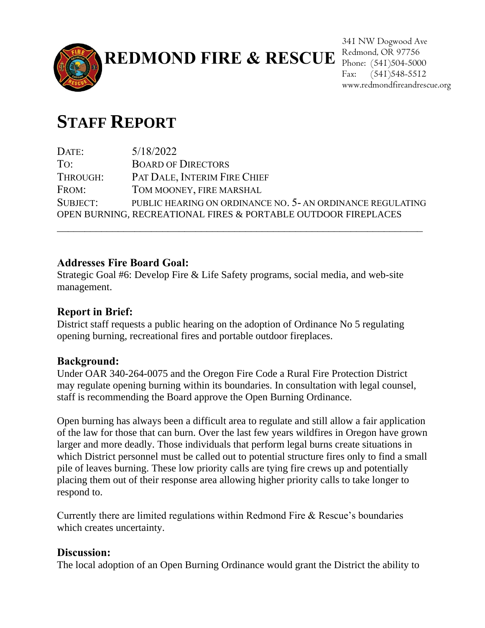

**REDMOND FIRE & RESCUE** Redmond, OR 97756

341 NW Dogwood Ave Phone: (541)504-5000 Fax: (541)548-5512 www.redmondfireandrescue.org

# **STAFF REPORT**

DATE:  $5/18/2022$ TO: BOARD OF DIRECTORS THROUGH: PAT DALE, INTERIM FIRE CHIEF FROM: TOM MOONEY, FIRE MARSHAL SUBJECT: PUBLIC HEARING ON ORDINANCE NO. 5- AN ORDINANCE REGULATING OPEN BURNING, RECREATIONAL FIRES & PORTABLE OUTDOOR FIREPLACES  $\mathcal{L}_\text{max}$  and  $\mathcal{L}_\text{max}$  and  $\mathcal{L}_\text{max}$  and  $\mathcal{L}_\text{max}$  and  $\mathcal{L}_\text{max}$  and  $\mathcal{L}_\text{max}$ 

# **Addresses Fire Board Goal:**

Strategic Goal #6: Develop Fire & Life Safety programs, social media, and web-site management.

# **Report in Brief:**

District staff requests a public hearing on the adoption of Ordinance No 5 regulating opening burning, recreational fires and portable outdoor fireplaces.

# **Background:**

Under OAR 340-264-0075 and the Oregon Fire Code a Rural Fire Protection District may regulate opening burning within its boundaries. In consultation with legal counsel, staff is recommending the Board approve the Open Burning Ordinance.

Open burning has always been a difficult area to regulate and still allow a fair application of the law for those that can burn. Over the last few years wildfires in Oregon have grown larger and more deadly. Those individuals that perform legal burns create situations in which District personnel must be called out to potential structure fires only to find a small pile of leaves burning. These low priority calls are tying fire crews up and potentially placing them out of their response area allowing higher priority calls to take longer to respond to.

Currently there are limited regulations within Redmond Fire & Rescue's boundaries which creates uncertainty.

# **Discussion:**

The local adoption of an Open Burning Ordinance would grant the District the ability to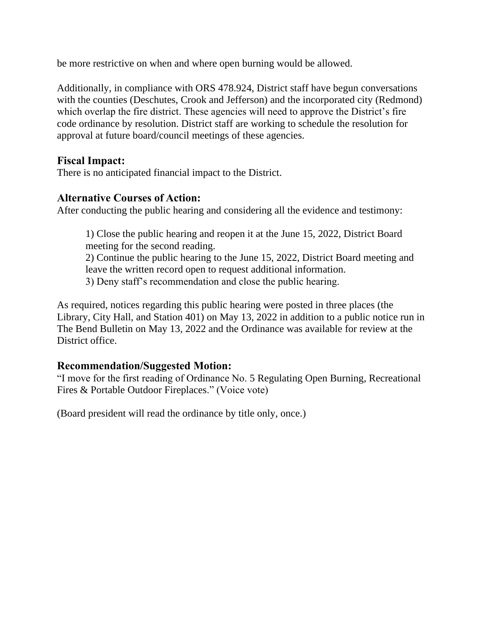be more restrictive on when and where open burning would be allowed.

Additionally, in compliance with ORS 478.924, District staff have begun conversations with the counties (Deschutes, Crook and Jefferson) and the incorporated city (Redmond) which overlap the fire district. These agencies will need to approve the District's fire code ordinance by resolution. District staff are working to schedule the resolution for approval at future board/council meetings of these agencies.

# **Fiscal Impact:**

There is no anticipated financial impact to the District.

# **Alternative Courses of Action:**

After conducting the public hearing and considering all the evidence and testimony:

1) Close the public hearing and reopen it at the June 15, 2022, District Board meeting for the second reading.

2) Continue the public hearing to the June 15, 2022, District Board meeting and leave the written record open to request additional information.

3) Deny staff's recommendation and close the public hearing.

As required, notices regarding this public hearing were posted in three places (the Library, City Hall, and Station 401) on May 13, 2022 in addition to a public notice run in The Bend Bulletin on May 13, 2022 and the Ordinance was available for review at the District office.

# **Recommendation/Suggested Motion:**

"I move for the first reading of Ordinance No. 5 Regulating Open Burning, Recreational Fires & Portable Outdoor Fireplaces." (Voice vote)

(Board president will read the ordinance by title only, once.)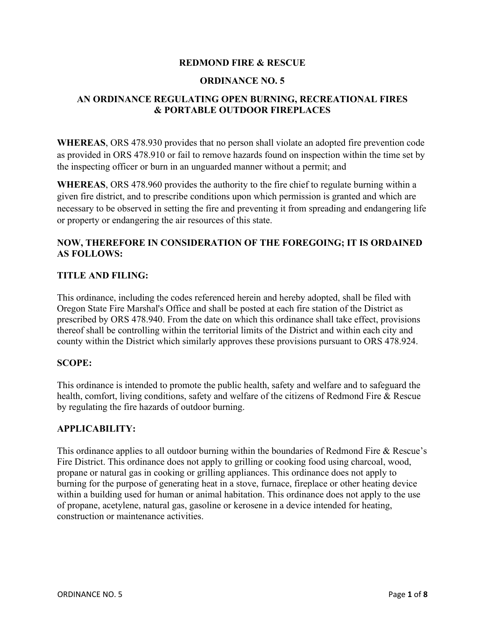#### **REDMOND FIRE & RESCUE**

#### **ORDINANCE NO. 5**

## **AN ORDINANCE REGULATING OPEN BURNING, RECREATIONAL FIRES & PORTABLE OUTDOOR FIREPLACES**

**WHEREAS**, ORS 478.930 provides that no person shall violate an adopted fire prevention code as provided in ORS 478.910 or fail to remove hazards found on inspection within the time set by the inspecting officer or burn in an unguarded manner without a permit; and

**WHEREAS**, ORS 478.960 provides the authority to the fire chief to regulate burning within a given fire district, and to prescribe conditions upon which permission is granted and which are necessary to be observed in setting the fire and preventing it from spreading and endangering life or property or endangering the air resources of this state.

## **NOW, THEREFORE IN CONSIDERATION OF THE FOREGOING; IT IS ORDAINED AS FOLLOWS:**

#### **TITLE AND FILING:**

This ordinance, including the codes referenced herein and hereby adopted, shall be filed with Oregon State Fire Marshal's Office and shall be posted at each fire station of the District as prescribed by ORS 478.940. From the date on which this ordinance shall take effect, provisions thereof shall be controlling within the territorial limits of the District and within each city and county within the District which similarly approves these provisions pursuant to ORS 478.924.

#### **SCOPE:**

This ordinance is intended to promote the public health, safety and welfare and to safeguard the health, comfort, living conditions, safety and welfare of the citizens of Redmond Fire & Rescue by regulating the fire hazards of outdoor burning.

#### **APPLICABILITY:**

This ordinance applies to all outdoor burning within the boundaries of Redmond Fire & Rescue's Fire District. This ordinance does not apply to grilling or cooking food using charcoal, wood, propane or natural gas in cooking or grilling appliances. This ordinance does not apply to burning for the purpose of generating heat in a stove, furnace, fireplace or other heating device within a building used for human or animal habitation. This ordinance does not apply to the use of propane, acetylene, natural gas, gasoline or kerosene in a device intended for heating, construction or maintenance activities.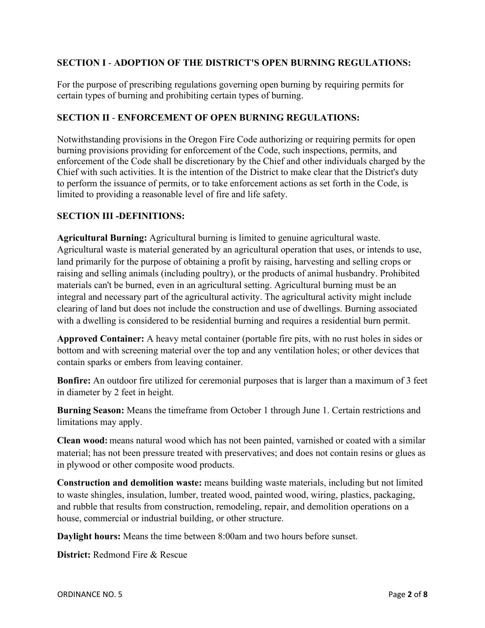## **SECTION I** - **ADOPTION OF THE DISTRICT'S OPEN BURNING REGULATIONS:**

For the purpose of prescribing regulations governing open burning by requiring permits for certain types of burning and prohibiting certain types of burning.

## **SECTION II** - **ENFORCEMENT OF OPEN BURNING REGULATIONS:**

Notwithstanding provisions in the Oregon Fire Code authorizing or requiring permits for open burning provisions providing for enforcement of the Code, such inspections, permits, and enforcement of the Code shall be discretionary by the Chief and other individuals charged by the Chief with such activities. It is the intention of the District to make clear that the District's duty to perform the issuance of permits, or to take enforcement actions as set forth in the Code, is limited to providing a reasonable level of fire and life safety.

## **SECTION III -DEFINITIONS:**

**Agricultural Burning:** Agricultural burning is limited to genuine agricultural waste. Agricultural waste is material generated by an agricultural operation that uses, or intends to use, land primarily for the purpose of obtaining a profit by raising, harvesting and selling crops or raising and selling animals (including poultry), or the products of animal husbandry. Prohibited materials can't be burned, even in an agricultural setting. Agricultural burning must be an integral and necessary part of the agricultural activity. The agricultural activity might include clearing of land but does not include the construction and use of dwellings. Burning associated with a dwelling is considered to be residential burning and requires a residential burn permit.

**Approved Container:** A heavy metal container (portable fire pits, with no rust holes in sides or bottom and with screening material over the top and any ventilation holes; or other devices that contain sparks or embers from leaving container.

**Bonfire:** An outdoor fire utilized for ceremonial purposes that is larger than a maximum of 3 feet in diameter by 2 feet in height.

**Burning Season:** Means the timeframe from October 1 through June 1. Certain restrictions and limitations may apply.

**Clean wood:** means natural wood which has not been painted, varnished or coated with a similar material; has not been pressure treated with preservatives; and does not contain resins or glues as in plywood or other composite wood products.

**Construction and demolition waste:** means building waste materials, including but not limited to waste shingles, insulation, lumber, treated wood, painted wood, wiring, plastics, packaging, and rubble that results from construction, remodeling, repair, and demolition operations on a house, commercial or industrial building, or other structure.

**Daylight hours:** Means the time between 8:00am and two hours before sunset.

**District:** Redmond Fire & Rescue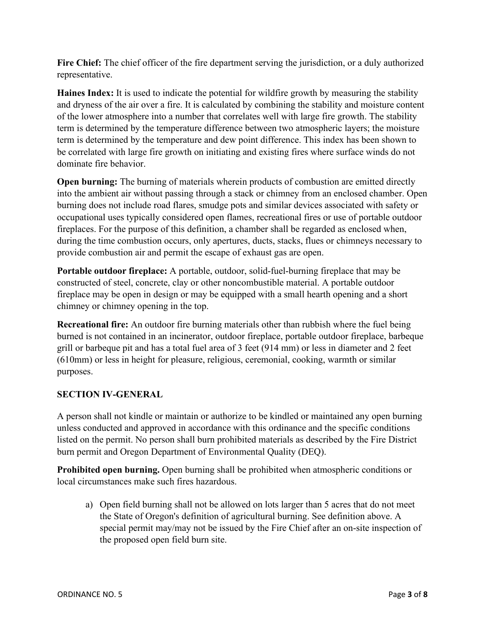**Fire Chief:** The chief officer of the fire department serving the jurisdiction, or a duly authorized representative.

**Haines Index:** It is used to indicate the potential for wildfire growth by measuring the stability and dryness of the air over a fire. It is calculated by combining the stability and moisture content of the lower atmosphere into a number that correlates well with large fire growth. The stability term is determined by the temperature difference between two atmospheric layers; the moisture term is determined by the temperature and dew point difference. This index has been shown to be correlated with large fire growth on initiating and existing fires where surface winds do not dominate fire behavior.

**Open burning:** The burning of materials wherein products of combustion are emitted directly into the ambient air without passing through a stack or chimney from an enclosed chamber. Open burning does not include road flares, smudge pots and similar devices associated with safety or occupational uses typically considered open flames, recreational fires or use of portable outdoor fireplaces. For the purpose of this definition, a chamber shall be regarded as enclosed when, during the time combustion occurs, only apertures, ducts, stacks, flues or chimneys necessary to provide combustion air and permit the escape of exhaust gas are open.

**Portable outdoor fireplace:** A portable, outdoor, solid-fuel-burning fireplace that may be constructed of steel, concrete, clay or other noncombustible material. A portable outdoor fireplace may be open in design or may be equipped with a small hearth opening and a short chimney or chimney opening in the top.

**Recreational fire:** An outdoor fire burning materials other than rubbish where the fuel being burned is not contained in an incinerator, outdoor fireplace, portable outdoor fireplace, barbeque grill or barbeque pit and has a total fuel area of 3 feet (914 mm) or less in diameter and 2 feet (610mm) or less in height for pleasure, religious, ceremonial, cooking, warmth or similar purposes.

## **SECTION IV-GENERAL**

A person shall not kindle or maintain or authorize to be kindled or maintained any open burning unless conducted and approved in accordance with this ordinance and the specific conditions listed on the permit. No person shall burn prohibited materials as described by the Fire District burn permit and Oregon Department of Environmental Quality (DEQ).

**Prohibited open burning.** Open burning shall be prohibited when atmospheric conditions or local circumstances make such fires hazardous.

a) Open field burning shall not be allowed on lots larger than 5 acres that do not meet the State of Oregon's definition of agricultural burning. See definition above. A special permit may/may not be issued by the Fire Chief after an on-site inspection of the proposed open field burn site.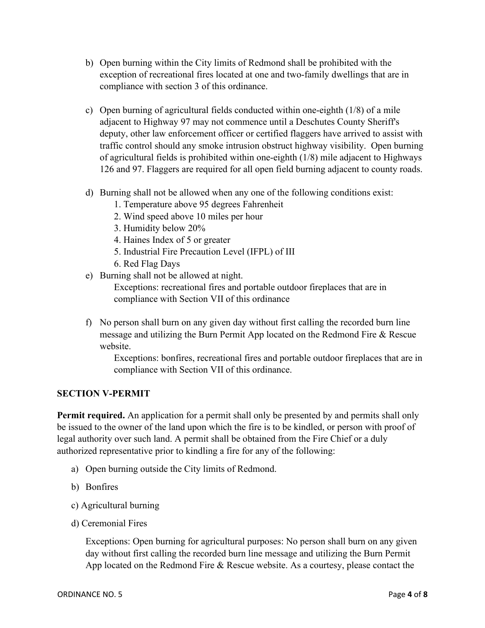- b) Open burning within the City limits of Redmond shall be prohibited with the exception of recreational fires located at one and two-family dwellings that are in compliance with section 3 of this ordinance.
- c) Open burning of agricultural fields conducted within one-eighth (1/8) of a mile adjacent to Highway 97 may not commence until a Deschutes County Sheriff's deputy, other law enforcement officer or certified flaggers have arrived to assist with traffic control should any smoke intrusion obstruct highway visibility. Open burning of agricultural fields is prohibited within one-eighth (1/8) mile adjacent to Highways 126 and 97. Flaggers are required for all open field burning adjacent to county roads.
- d) Burning shall not be allowed when any one of the following conditions exist:
	- 1. Temperature above 95 degrees Fahrenheit
	- 2. Wind speed above 10 miles per hour
	- 3. Humidity below 20%
	- 4. Haines Index of 5 or greater
	- 5. Industrial Fire Precaution Level (IFPL) of III
	- 6. Red Flag Days
- e) Burning shall not be allowed at night.

Exceptions: recreational fires and portable outdoor fireplaces that are in compliance with Section VII of this ordinance

f) No person shall burn on any given day without first calling the recorded burn line message and utilizing the Burn Permit App located on the Redmond Fire & Rescue website.

Exceptions: bonfires, recreational fires and portable outdoor fireplaces that are in compliance with Section VII of this ordinance.

## **SECTION V-PERMIT**

**Permit required.** An application for a permit shall only be presented by and permits shall only be issued to the owner of the land upon which the fire is to be kindled, or person with proof of legal authority over such land. A permit shall be obtained from the Fire Chief or a duly authorized representative prior to kindling a fire for any of the following:

- a) Open burning outside the City limits of Redmond.
- b) Bonfires
- c) Agricultural burning
- d) Ceremonial Fires

Exceptions: Open burning for agricultural purposes: No person shall burn on any given day without first calling the recorded burn line message and utilizing the Burn Permit App located on the Redmond Fire & Rescue website. As a courtesy, please contact the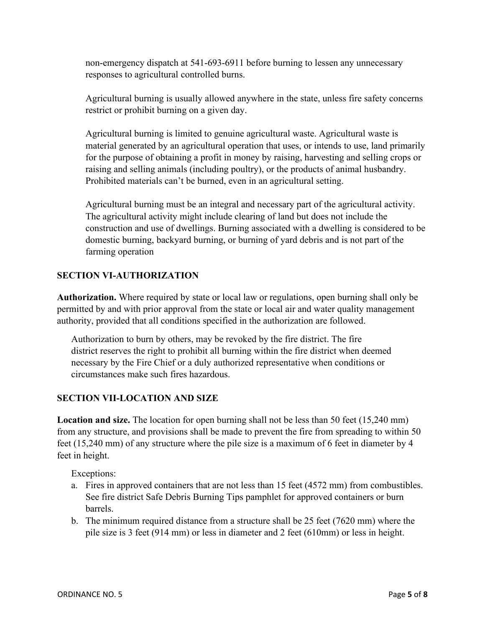non-emergency dispatch at 541-693-6911 before burning to lessen any unnecessary responses to agricultural controlled burns.

Agricultural burning is usually allowed anywhere in the state, unless fire safety concerns restrict or prohibit burning on a given day.

Agricultural burning is limited to genuine agricultural waste. Agricultural waste is material generated by an agricultural operation that uses, or intends to use, land primarily for the purpose of obtaining a profit in money by raising, harvesting and selling crops or raising and selling animals (including poultry), or the products of animal husbandry. Prohibited materials can't be burned, even in an agricultural setting.

Agricultural burning must be an integral and necessary part of the agricultural activity. The agricultural activity might include clearing of land but does not include the construction and use of dwellings. Burning associated with a dwelling is considered to be domestic burning, backyard burning, or burning of yard debris and is not part of the farming operation

## **SECTION VI-AUTHORIZATION**

**Authorization.** Where required by state or local law or regulations, open burning shall only be permitted by and with prior approval from the state or local air and water quality management authority, provided that all conditions specified in the authorization are followed.

Authorization to burn by others, may be revoked by the fire district. The fire district reserves the right to prohibit all burning within the fire district when deemed necessary by the Fire Chief or a duly authorized representative when conditions or circumstances make such fires hazardous.

#### **SECTION VII-LOCATION AND SIZE**

**Location and size.** The location for open burning shall not be less than 50 feet (15,240 mm) from any structure, and provisions shall be made to prevent the fire from spreading to within 50 feet (15,240 mm) of any structure where the pile size is a maximum of 6 feet in diameter by 4 feet in height.

Exceptions:

- a. Fires in approved containers that are not less than 15 feet (4572 mm) from combustibles. See fire district Safe Debris Burning Tips pamphlet for approved containers or burn barrels.
- b. The minimum required distance from a structure shall be 25 feet (7620 mm) where the pile size is 3 feet (914 mm) or less in diameter and 2 feet (610mm) or less in height.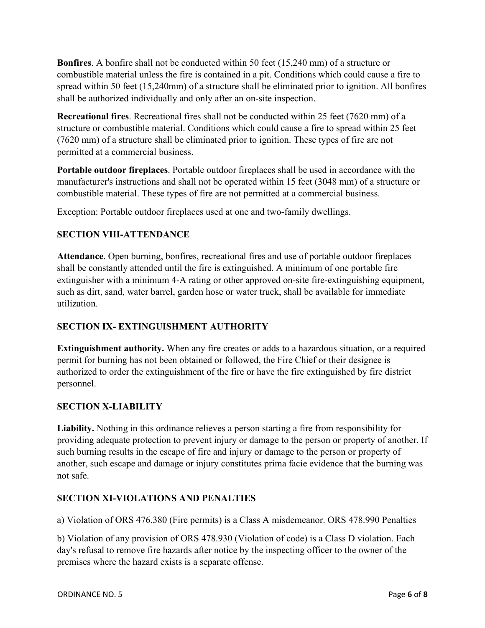**Bonfires**. A bonfire shall not be conducted within 50 feet (15,240 mm) of a structure or combustible material unless the fire is contained in a pit. Conditions which could cause a fire to spread within 50 feet (15,240mm) of a structure shall be eliminated prior to ignition. All bonfires shall be authorized individually and only after an on-site inspection.

**Recreational fires**. Recreational fires shall not be conducted within 25 feet (7620 mm) of a structure or combustible material. Conditions which could cause a fire to spread within 25 feet (7620 mm) of a structure shall be eliminated prior to ignition. These types of fire are not permitted at a commercial business.

**Portable outdoor fireplaces**. Portable outdoor fireplaces shall be used in accordance with the manufacturer's instructions and shall not be operated within 15 feet (3048 mm) of a structure or combustible material. These types of fire are not permitted at a commercial business.

Exception: Portable outdoor fireplaces used at one and two-family dwellings.

# **SECTION VIII-ATTENDANCE**

**Attendance**. Open burning, bonfires, recreational fires and use of portable outdoor fireplaces shall be constantly attended until the fire is extinguished. A minimum of one portable fire extinguisher with a minimum 4-A rating or other approved on-site fire-extinguishing equipment, such as dirt, sand, water barrel, garden hose or water truck, shall be available for immediate utilization.

## **SECTION IX- EXTINGUISHMENT AUTHORITY**

**Extinguishment authority.** When any fire creates or adds to a hazardous situation, or a required permit for burning has not been obtained or followed, the Fire Chief or their designee is authorized to order the extinguishment of the fire or have the fire extinguished by fire district personnel.

## **SECTION X-LIABILITY**

**Liability.** Nothing in this ordinance relieves a person starting a fire from responsibility for providing adequate protection to prevent injury or damage to the person or property of another. If such burning results in the escape of fire and injury or damage to the person or property of another, such escape and damage or injury constitutes prima facie evidence that the burning was not safe.

## **SECTION XI-VIOLATIONS AND PENALTIES**

a) Violation of ORS 476.380 (Fire permits) is a Class A misdemeanor. ORS 478.990 Penalties

b) Violation of any provision of ORS 478.930 (Violation of code) is a Class D violation. Each day's refusal to remove fire hazards after notice by the inspecting officer to the owner of the premises where the hazard exists is a separate offense.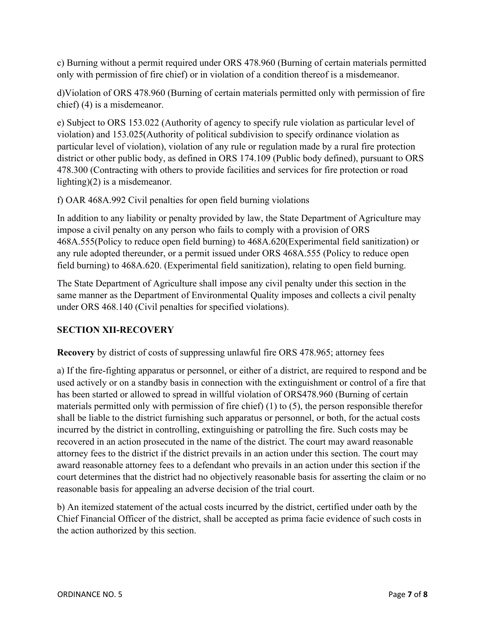c) Burning without a permit required under ORS 478.960 (Burning of certain materials permitted only with permission of fire chief) or in violation of a condition thereof is a misdemeanor.

d)Violation of ORS 478.960 (Burning of certain materials permitted only with permission of fire chief) (4) is a misdemeanor.

e) Subject to ORS 153.022 (Authority of agency to specify rule violation as particular level of violation) and 153.025(Authority of political subdivision to specify ordinance violation as particular level of violation), violation of any rule or regulation made by a rural fire protection district or other public body, as defined in ORS 174.109 (Public body defined), pursuant to ORS 478.300 (Contracting with others to provide facilities and services for fire protection or road lighting)(2) is a misdemeanor.

f) OAR 468A.992 Civil penalties for open field burning violations

In addition to any liability or penalty provided by law, the State Department of Agriculture may impose a civil penalty on any person who fails to comply with a provision of ORS 468A.555(Policy to reduce open field burning) to 468A.620(Experimental field sanitization) or any rule adopted thereunder, or a permit issued under ORS 468A.555 (Policy to reduce open field burning) to 468A.620. (Experimental field sanitization), relating to open field burning.

The State Department of Agriculture shall impose any civil penalty under this section in the same manner as the Department of Environmental Quality imposes and collects a civil penalty under ORS 468.140 (Civil penalties for specified violations).

# **SECTION XII-RECOVERY**

**Recovery** by district of costs of suppressing unlawful fire ORS 478.965; attorney fees

a) If the fire-fighting apparatus or personnel, or either of a district, are required to respond and be used actively or on a standby basis in connection with the extinguishment or control of a fire that has been started or allowed to spread in willful violation of ORS478.960 (Burning of certain materials permitted only with permission of fire chief) (1) to (5), the person responsible therefor shall be liable to the district furnishing such apparatus or personnel, or both, for the actual costs incurred by the district in controlling, extinguishing or patrolling the fire. Such costs may be recovered in an action prosecuted in the name of the district. The court may award reasonable attorney fees to the district if the district prevails in an action under this section. The court may award reasonable attorney fees to a defendant who prevails in an action under this section if the court determines that the district had no objectively reasonable basis for asserting the claim or no reasonable basis for appealing an adverse decision of the trial court.

b) An itemized statement of the actual costs incurred by the district, certified under oath by the Chief Financial Officer of the district, shall be accepted as prima facie evidence of such costs in the action authorized by this section.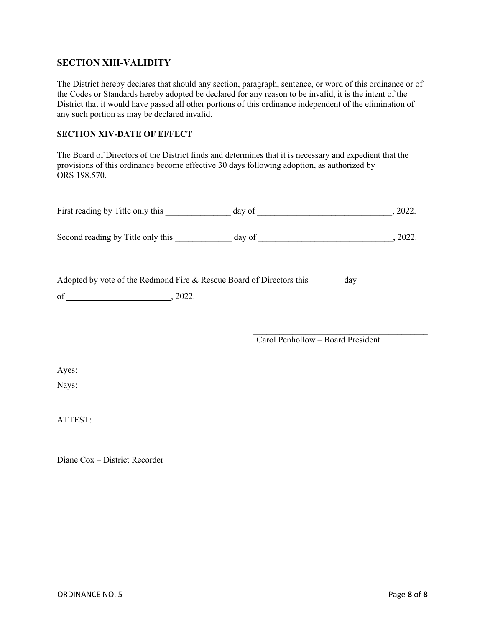### **SECTION XIII-VALIDITY**

The District hereby declares that should any section, paragraph, sentence, or word of this ordinance or of the Codes or Standards hereby adopted be declared for any reason to be invalid, it is the intent of the District that it would have passed all other portions of this ordinance independent of the elimination of any such portion as may be declared invalid.

#### **SECTION XIV-DATE OF EFFECT**

The Board of Directors of the District finds and determines that it is necessary and expedient that the provisions of this ordinance become effective 30 days following adoption, as authorized by ORS 198.570.

| First reading by Title only this | dav of | 2022. |
|----------------------------------|--------|-------|
|                                  |        |       |

Second reading by Title only this \_\_\_\_\_\_\_\_\_\_\_\_ day of \_\_\_\_\_\_\_\_\_\_\_\_\_\_\_\_\_\_\_\_\_\_\_\_\_\_, 2022.

Adopted by vote of the Redmond Fire & Rescue Board of Directors this \_\_\_\_\_\_\_ day

of  $\qquad \qquad , 2022.$ 

 $\mathcal{L}=\frac{1}{2}$  , where  $\mathcal{L}=\frac{1}{2}$  , where  $\mathcal{L}=\frac{1}{2}$  , where  $\mathcal{L}=\frac{1}{2}$ Carol Penhollow – Board President

Ayes:

Nays:

ATTEST:

Diane Cox – District Recorder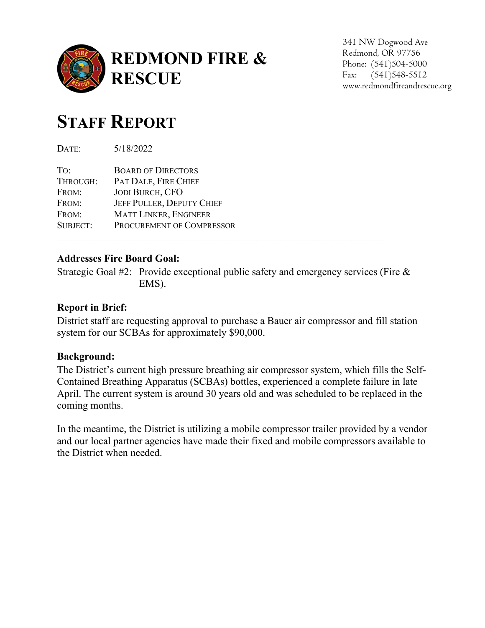

341 NW Dogwood Ave Redmond, OR 97756 Phone: (541)504-5000 Fax: (541)548-5512 www.redmondfireandrescue.org

# **STAFF REPORT**

DATE: 5/18/2022

| <b>BOARD OF DIRECTORS</b>    |
|------------------------------|
| PAT DALE, FIRE CHIEF         |
| <b>JODI BURCH, CFO</b>       |
| JEFF PULLER, DEPUTY CHIEF    |
| <b>MATT LINKER, ENGINEER</b> |
| PROCUREMENT OF COMPRESSOR    |
|                              |

# **Addresses Fire Board Goal:**

Strategic Goal #2: Provide exceptional public safety and emergency services (Fire & EMS).

\_\_\_\_\_\_\_\_\_\_\_\_\_\_\_\_\_\_\_\_\_\_\_\_\_\_\_\_\_\_\_\_\_\_\_\_\_\_\_\_\_\_\_\_\_\_\_\_\_\_\_\_\_\_\_\_\_\_\_\_\_\_\_\_\_\_\_\_\_

# **Report in Brief:**

District staff are requesting approval to purchase a Bauer air compressor and fill station system for our SCBAs for approximately \$90,000.

# **Background:**

The District's current high pressure breathing air compressor system, which fills the Self-Contained Breathing Apparatus (SCBAs) bottles, experienced a complete failure in late April. The current system is around 30 years old and was scheduled to be replaced in the coming months.

In the meantime, the District is utilizing a mobile compressor trailer provided by a vendor and our local partner agencies have made their fixed and mobile compressors available to the District when needed.